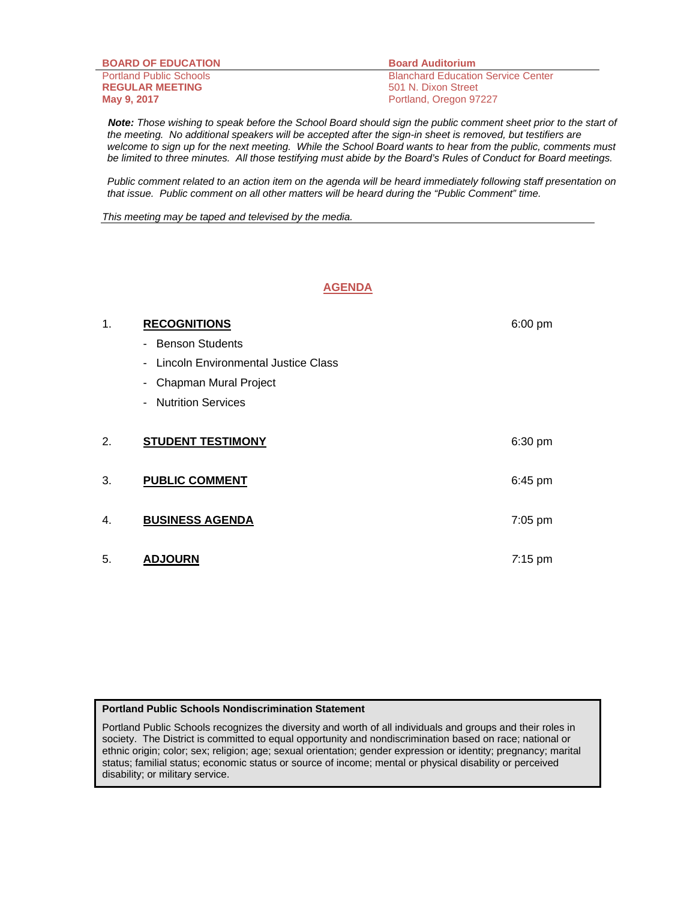| <b>BOARD OF EDUCATION</b>      | <b>Board Auditorium</b>                   |
|--------------------------------|-------------------------------------------|
| <b>Portland Public Schools</b> | <b>Blanchard Education Service Center</b> |
| <b>REGULAR MEETING</b>         | 501 N. Dixon Street                       |
| May 9, 2017                    | Portland, Oregon 97227                    |

 *Note: Those wishing to speak before the School Board should sign the public comment sheet prior to the start of the meeting. No additional speakers will be accepted after the sign-in sheet is removed, but testifiers are*  welcome to sign up for the next meeting. While the School Board wants to hear from the public, comments must *be limited to three minutes. All those testifying must abide by the Board's Rules of Conduct for Board meetings.* 

 *Public comment related to an action item on the agenda will be heard immediately following staff presentation on that issue. Public comment on all other matters will be heard during the "Public Comment" time.* 

*This meeting may be taped and televised by the media.* 

# **AGENDA**

| 1. | <b>RECOGNITIONS</b>                        | $6:00$ pm |
|----|--------------------------------------------|-----------|
|    | <b>Benson Students</b>                     |           |
|    | <b>Lincoln Environmental Justice Class</b> |           |
|    | Chapman Mural Project<br>$\sim$            |           |
|    | - Nutrition Services                       |           |
|    |                                            |           |
| 2. | <b>STUDENT TESTIMONY</b>                   | $6:30$ pm |
|    |                                            |           |
| 3. | <b>PUBLIC COMMENT</b>                      | $6:45$ pm |
|    |                                            |           |
| 4. | <b>BUSINESS AGENDA</b>                     | 7:05 pm   |
|    |                                            |           |
| 5. | <b>ADJOURN</b>                             | $7:15$ pm |

#### **Portland Public Schools Nondiscrimination Statement**

Portland Public Schools recognizes the diversity and worth of all individuals and groups and their roles in society. The District is committed to equal opportunity and nondiscrimination based on race; national or ethnic origin; color; sex; religion; age; sexual orientation; gender expression or identity; pregnancy; marital status; familial status; economic status or source of income; mental or physical disability or perceived disability; or military service.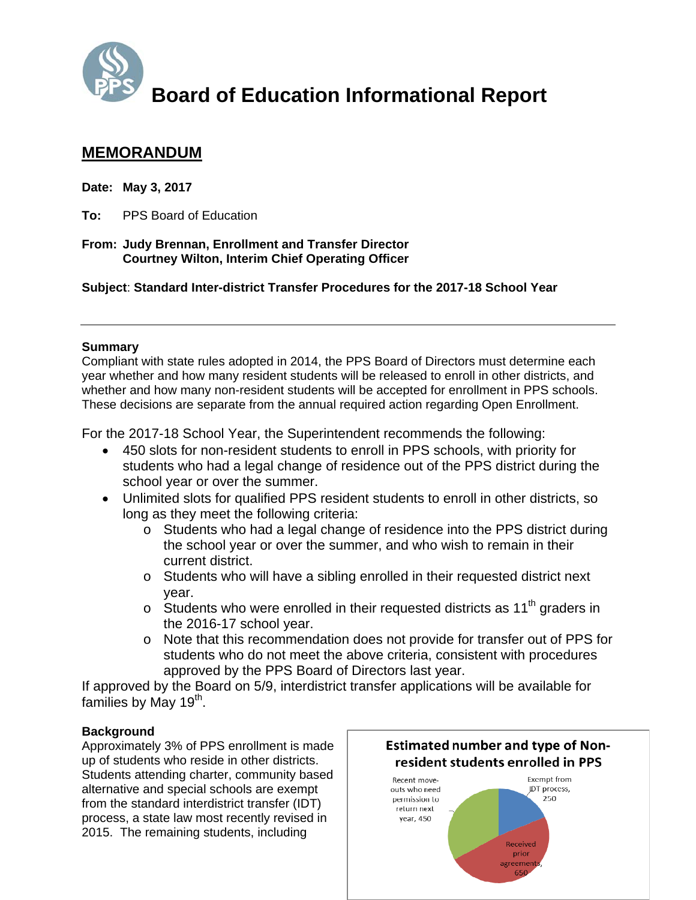

# **Board of Education Informational Report**

# **MEMORANDUM**

**Date: May 3, 2017** 

**To:** PPS Board of Education

**From: Judy Brennan, Enrollment and Transfer Director Courtney Wilton, Interim Chief Operating Officer** 

**Subject**: **Standard Inter-district Transfer Procedures for the 2017-18 School Year**

## **Summary**

Compliant with state rules adopted in 2014, the PPS Board of Directors must determine each year whether and how many resident students will be released to enroll in other districts, and whether and how many non-resident students will be accepted for enrollment in PPS schools. These decisions are separate from the annual required action regarding Open Enrollment.

For the 2017-18 School Year, the Superintendent recommends the following:

- 450 slots for non-resident students to enroll in PPS schools, with priority for students who had a legal change of residence out of the PPS district during the school year or over the summer.
- Unlimited slots for qualified PPS resident students to enroll in other districts, so long as they meet the following criteria:
	- o Students who had a legal change of residence into the PPS district during the school year or over the summer, and who wish to remain in their current district.
	- o Students who will have a sibling enrolled in their requested district next year.
	- $\circ$  Students who were enrolled in their requested districts as 11<sup>th</sup> graders in the 2016-17 school year.
	- o Note that this recommendation does not provide for transfer out of PPS for students who do not meet the above criteria, consistent with procedures approved by the PPS Board of Directors last year.

If approved by the Board on 5/9, interdistrict transfer applications will be available for families by May 19<sup>th</sup>.

# **Background**

Approximately 3% of PPS enrollment is made up of students who reside in other districts. Students attending charter, community based alternative and special schools are exempt from the standard interdistrict transfer (IDT) process, a state law most recently revised in 2015. The remaining students, including



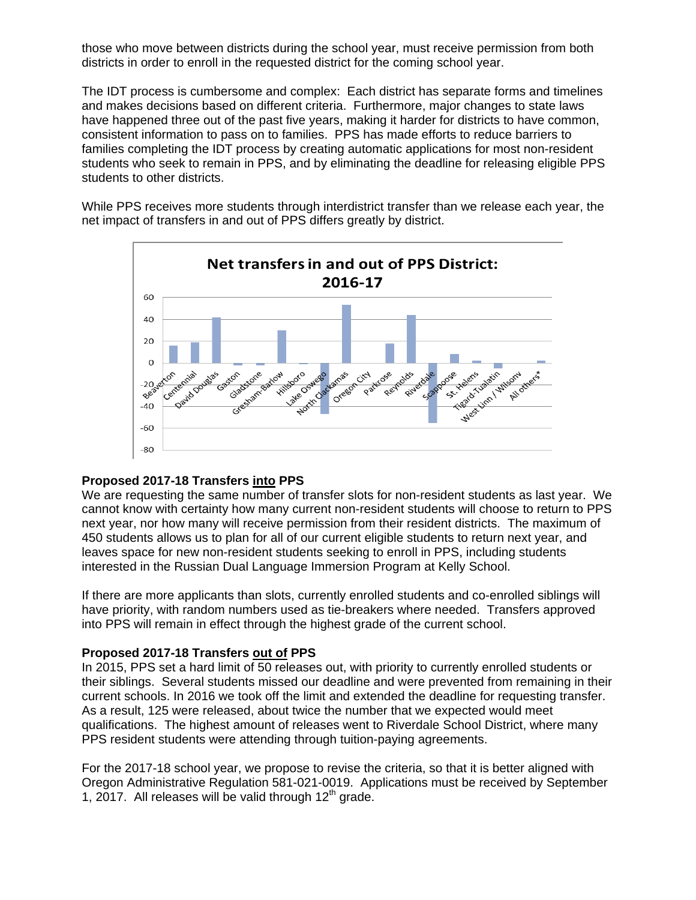those who move between districts during the school year, must receive permission from both districts in order to enroll in the requested district for the coming school year.

The IDT process is cumbersome and complex: Each district has separate forms and timelines and makes decisions based on different criteria. Furthermore, major changes to state laws have happened three out of the past five years, making it harder for districts to have common, consistent information to pass on to families. PPS has made efforts to reduce barriers to families completing the IDT process by creating automatic applications for most non-resident students who seek to remain in PPS, and by eliminating the deadline for releasing eligible PPS students to other districts.

While PPS receives more students through interdistrict transfer than we release each year, the net impact of transfers in and out of PPS differs greatly by district.



#### **Proposed 2017-18 Transfers into PPS**

We are requesting the same number of transfer slots for non-resident students as last year. We cannot know with certainty how many current non-resident students will choose to return to PPS next year, nor how many will receive permission from their resident districts. The maximum of 450 students allows us to plan for all of our current eligible students to return next year, and leaves space for new non-resident students seeking to enroll in PPS, including students interested in the Russian Dual Language Immersion Program at Kelly School.

If there are more applicants than slots, currently enrolled students and co-enrolled siblings will have priority, with random numbers used as tie-breakers where needed. Transfers approved into PPS will remain in effect through the highest grade of the current school.

#### **Proposed 2017-18 Transfers out of PPS**

In 2015, PPS set a hard limit of 50 releases out, with priority to currently enrolled students or their siblings. Several students missed our deadline and were prevented from remaining in their current schools. In 2016 we took off the limit and extended the deadline for requesting transfer. As a result, 125 were released, about twice the number that we expected would meet qualifications. The highest amount of releases went to Riverdale School District, where many PPS resident students were attending through tuition-paying agreements.

For the 2017-18 school year, we propose to revise the criteria, so that it is better aligned with Oregon Administrative Regulation 581-021-0019. Applications must be received by September 1, 2017. All releases will be valid through  $12<sup>th</sup>$  grade.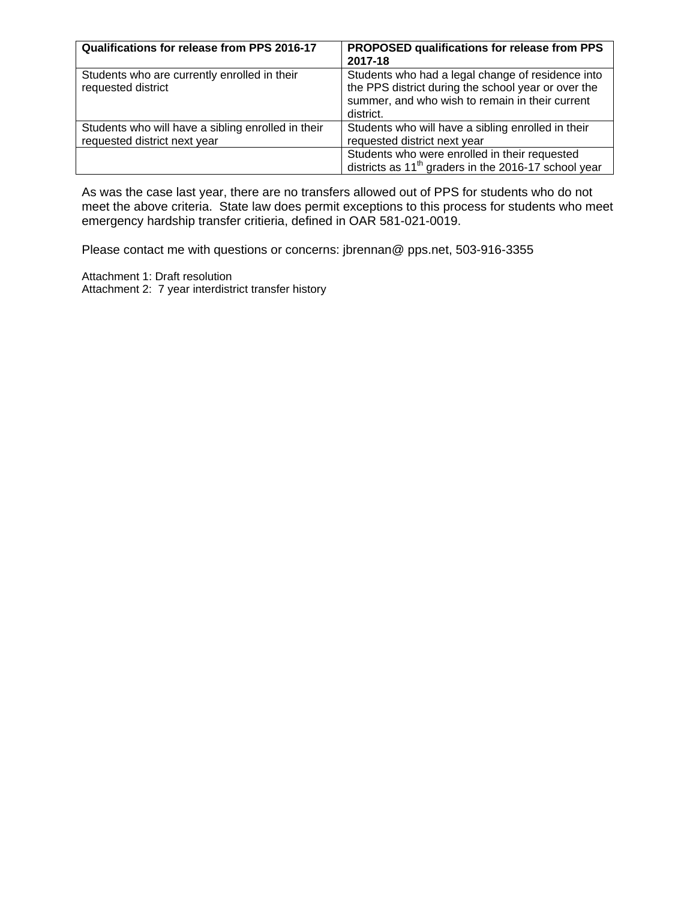| Qualifications for release from PPS 2016-17                                        | <b>PROPOSED qualifications for release from PPS</b><br>2017-18                                                                                                           |
|------------------------------------------------------------------------------------|--------------------------------------------------------------------------------------------------------------------------------------------------------------------------|
| Students who are currently enrolled in their<br>requested district                 | Students who had a legal change of residence into<br>the PPS district during the school year or over the<br>summer, and who wish to remain in their current<br>district. |
| Students who will have a sibling enrolled in their<br>requested district next year | Students who will have a sibling enrolled in their<br>requested district next year                                                                                       |
|                                                                                    | Students who were enrolled in their requested<br>districts as 11 <sup>th</sup> graders in the 2016-17 school year                                                        |

As was the case last year, there are no transfers allowed out of PPS for students who do not meet the above criteria. State law does permit exceptions to this process for students who meet emergency hardship transfer critieria, defined in OAR 581-021-0019.

Please contact me with questions or concerns: jbrennan@ pps.net, 503-916-3355

Attachment 1: Draft resolution Attachment 2: 7 year interdistrict transfer history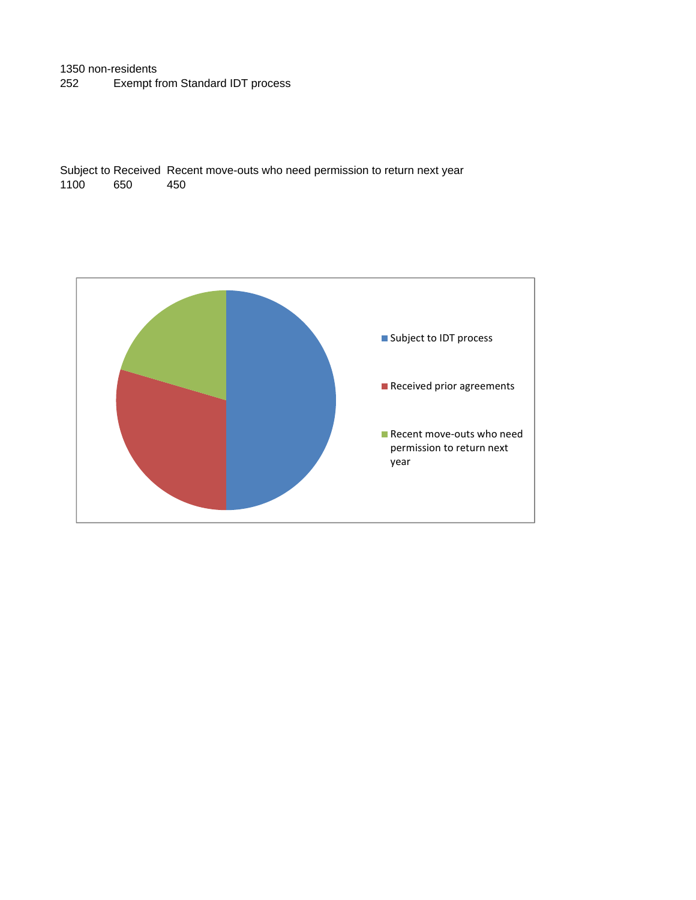## 1350 non-residents 252 Exempt from Standard IDT process

Subject to Received Recent move-outs who need permission to return next year 1100 650 450

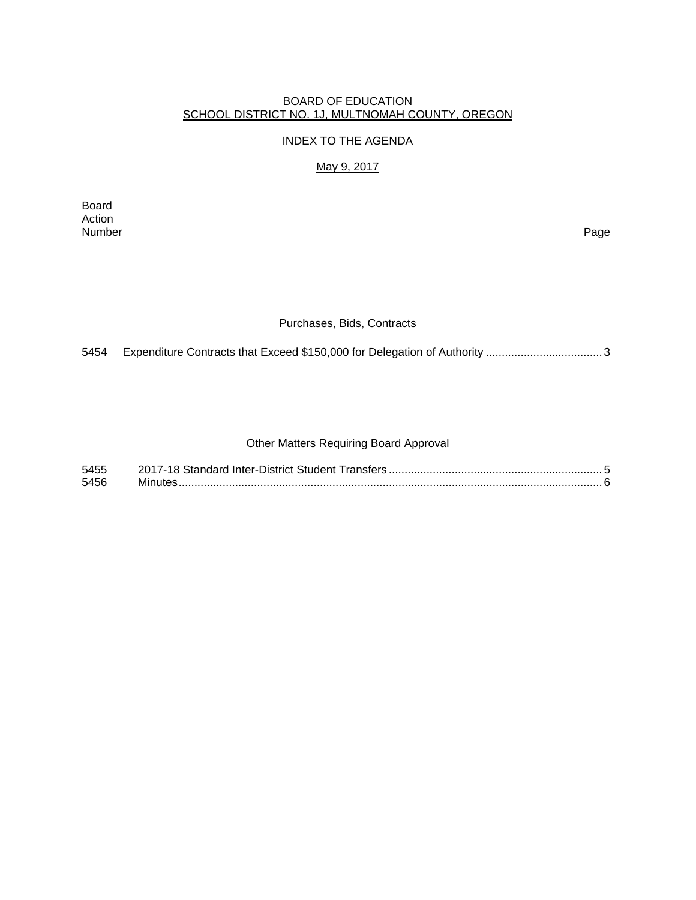## BOARD OF EDUCATION SCHOOL DISTRICT NO. 1J, MULTNOMAH COUNTY, OREGON

#### INDEX TO THE AGENDA

# May 9, 2017

Board Action<br>Number Number Page

#### Purchases, Bids, Contracts

5454 Expenditure Contracts that Exceed \$150,000 for Delegation of Authority ..................................... 3

#### Other Matters Requiring Board Approval

| 5455 |  |
|------|--|
| 5456 |  |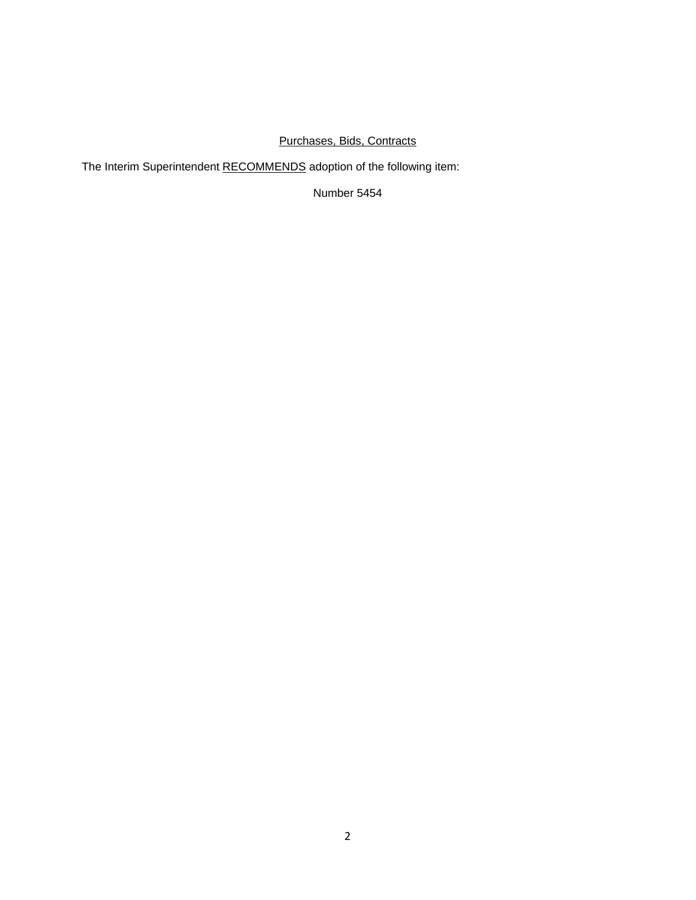# Purchases, Bids, Contracts

The Interim Superintendent RECOMMENDS adoption of the following item:

Number 5454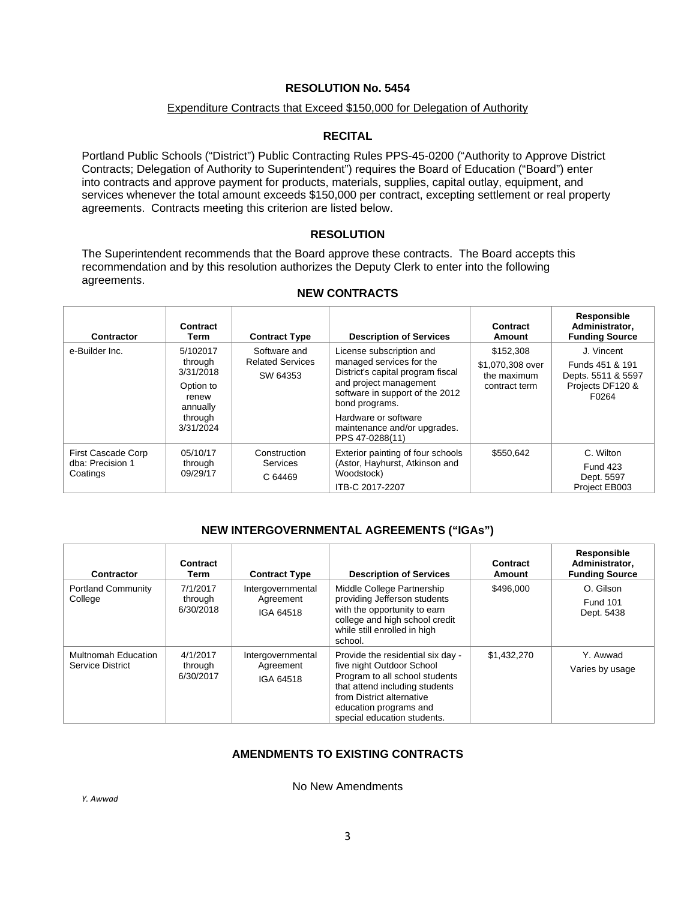#### **RESOLUTION No. 5454**

#### Expenditure Contracts that Exceed \$150,000 for Delegation of Authority

#### **RECITAL**

Portland Public Schools ("District") Public Contracting Rules PPS-45-0200 ("Authority to Approve District Contracts; Delegation of Authority to Superintendent") requires the Board of Education ("Board") enter into contracts and approve payment for products, materials, supplies, capital outlay, equipment, and services whenever the total amount exceeds \$150,000 per contract, excepting settlement or real property agreements. Contracts meeting this criterion are listed below.

#### **RESOLUTION**

The Superintendent recommends that the Board approve these contracts. The Board accepts this recommendation and by this resolution authorizes the Deputy Clerk to enter into the following agreements.

| <b>Contractor</b>                                  | Contract<br>Term                                                                           | <b>Contract Type</b>                                | <b>Description of Services</b>                                                                                                                                                                                                                      | Contract<br>Amount                                            | Responsible<br>Administrator,<br><b>Funding Source</b>                           |
|----------------------------------------------------|--------------------------------------------------------------------------------------------|-----------------------------------------------------|-----------------------------------------------------------------------------------------------------------------------------------------------------------------------------------------------------------------------------------------------------|---------------------------------------------------------------|----------------------------------------------------------------------------------|
| e-Builder Inc.                                     | 5/102017<br>through<br>3/31/2018<br>Option to<br>renew<br>annually<br>through<br>3/31/2024 | Software and<br><b>Related Services</b><br>SW 64353 | License subscription and<br>managed services for the<br>District's capital program fiscal<br>and project management<br>software in support of the 2012<br>bond programs.<br>Hardware or software<br>maintenance and/or upgrades.<br>PPS 47-0288(11) | \$152,308<br>\$1,070,308 over<br>the maximum<br>contract term | J. Vincent<br>Funds 451 & 191<br>Depts. 5511 & 5597<br>Projects DF120 &<br>F0264 |
| First Cascade Corp<br>dba: Precision 1<br>Coatings | 05/10/17<br>through<br>09/29/17                                                            | Construction<br><b>Services</b><br>C 64469          | Exterior painting of four schools<br>(Astor, Hayhurst, Atkinson and<br>Woodstock)<br>ITB-C 2017-2207                                                                                                                                                | \$550,642                                                     | C. Wilton<br><b>Fund 423</b><br>Dept. 5597<br>Project EB003                      |

#### **NEW CONTRACTS**

#### **NEW INTERGOVERNMENTAL AGREEMENTS ("IGAs")**

| <b>Contractor</b>                       | Contract<br>Term                 | <b>Contract Type</b>                        | <b>Description of Services</b>                                                                                                                                                                                           | Contract<br>Amount | Responsible<br>Administrator,<br><b>Funding Source</b> |
|-----------------------------------------|----------------------------------|---------------------------------------------|--------------------------------------------------------------------------------------------------------------------------------------------------------------------------------------------------------------------------|--------------------|--------------------------------------------------------|
| <b>Portland Community</b><br>College    | 7/1/2017<br>through<br>6/30/2018 | Intergovernmental<br>Agreement<br>IGA 64518 | Middle College Partnership<br>providing Jefferson students<br>with the opportunity to earn<br>college and high school credit<br>while still enrolled in high<br>school.                                                  | \$496,000          | O. Gilson<br><b>Fund 101</b><br>Dept. 5438             |
| Multnomah Education<br>Service District | 4/1/2017<br>through<br>6/30/2017 | Intergovernmental<br>Agreement<br>IGA 64518 | Provide the residential six day -<br>five night Outdoor School<br>Program to all school students<br>that attend including students<br>from District alternative<br>education programs and<br>special education students. | \$1,432,270        | Y. Awwad<br>Varies by usage                            |

# **AMENDMENTS TO EXISTING CONTRACTS**

No New Amendments

*Y. Awwad*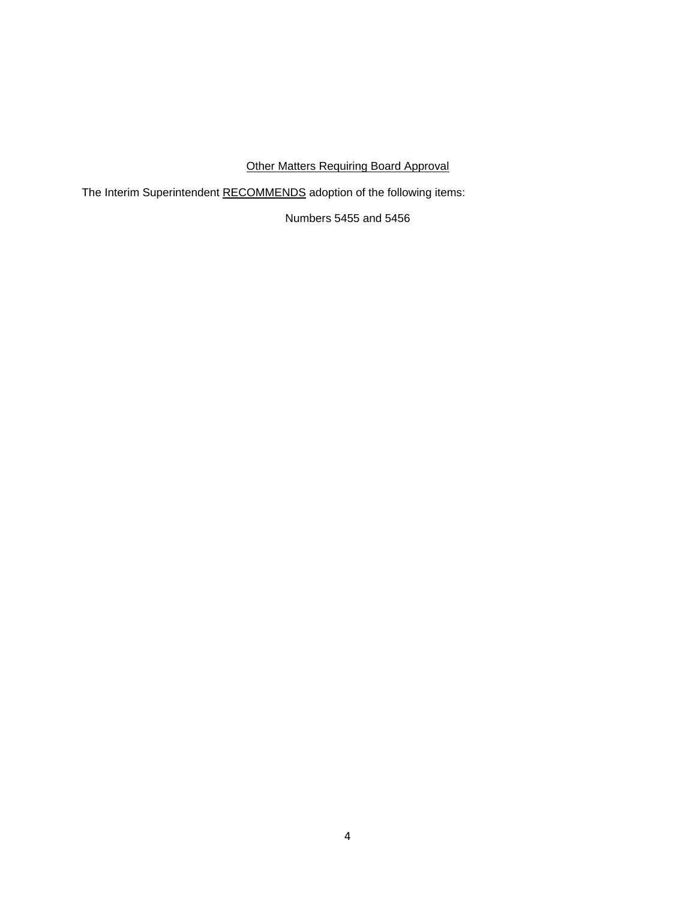# Other Matters Requiring Board Approval

The Interim Superintendent RECOMMENDS adoption of the following items:

Numbers 5455 and 5456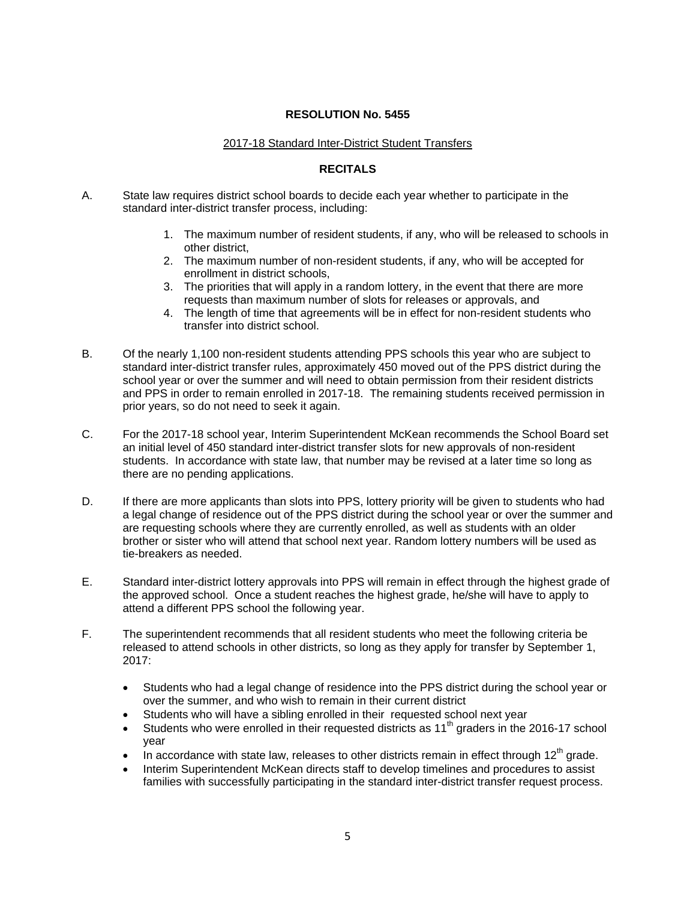#### **RESOLUTION No. 5455**

#### 2017-18 Standard Inter-District Student Transfers

#### **RECITALS**

- A. State law requires district school boards to decide each year whether to participate in the standard inter-district transfer process, including:
	- 1. The maximum number of resident students, if any, who will be released to schools in other district,
	- 2. The maximum number of non-resident students, if any, who will be accepted for enrollment in district schools,
	- 3. The priorities that will apply in a random lottery, in the event that there are more requests than maximum number of slots for releases or approvals, and
	- 4. The length of time that agreements will be in effect for non-resident students who transfer into district school.
- B. Of the nearly 1,100 non-resident students attending PPS schools this year who are subject to standard inter-district transfer rules, approximately 450 moved out of the PPS district during the school year or over the summer and will need to obtain permission from their resident districts and PPS in order to remain enrolled in 2017-18. The remaining students received permission in prior years, so do not need to seek it again.
- C. For the 2017-18 school year, Interim Superintendent McKean recommends the School Board set an initial level of 450 standard inter-district transfer slots for new approvals of non-resident students. In accordance with state law, that number may be revised at a later time so long as there are no pending applications.
- D. If there are more applicants than slots into PPS, lottery priority will be given to students who had a legal change of residence out of the PPS district during the school year or over the summer and are requesting schools where they are currently enrolled, as well as students with an older brother or sister who will attend that school next year. Random lottery numbers will be used as tie-breakers as needed.
- E. Standard inter-district lottery approvals into PPS will remain in effect through the highest grade of the approved school. Once a student reaches the highest grade, he/she will have to apply to attend a different PPS school the following year.
- F. The superintendent recommends that all resident students who meet the following criteria be released to attend schools in other districts, so long as they apply for transfer by September 1, 2017:
	- Students who had a legal change of residence into the PPS district during the school year or over the summer, and who wish to remain in their current district
	- Students who will have a sibling enrolled in their requested school next year
	- Students who were enrolled in their requested districts as 11<sup>th</sup> graders in the 2016-17 school year
	- In accordance with state law, releases to other districts remain in effect through  $12<sup>th</sup>$  grade.
	- Interim Superintendent McKean directs staff to develop timelines and procedures to assist families with successfully participating in the standard inter-district transfer request process.